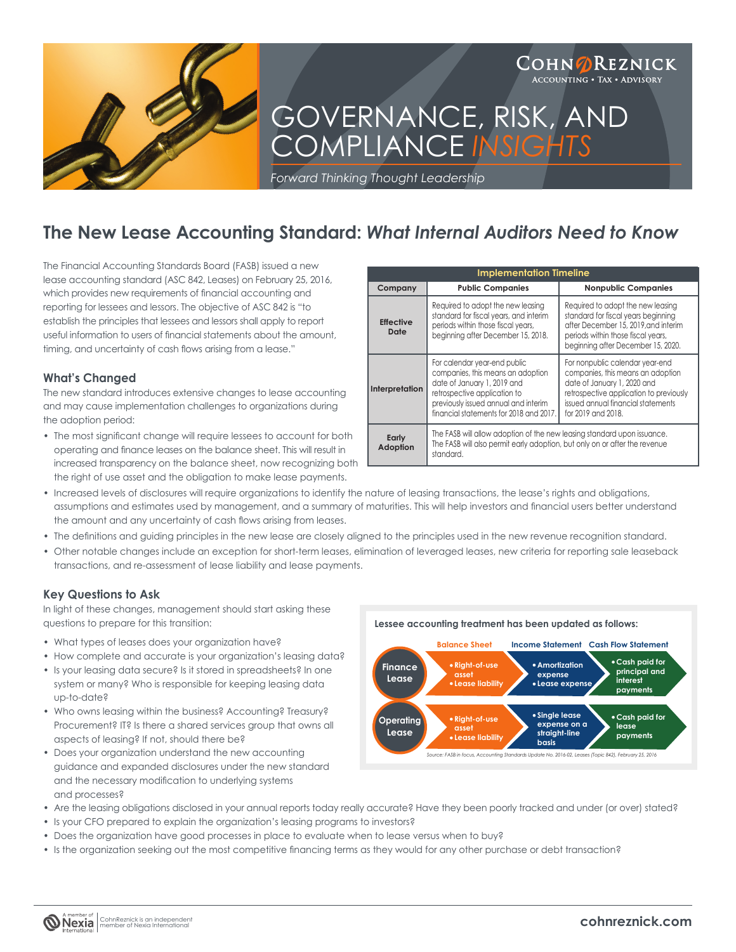

# **The New Lease Accounting Standard:** *What Internal Auditors Need to Know*

The Financial Accounting Standards Board (FASB) issued a new lease accounting standard (ASC 842, Leases) on February 25, 2016, which provides new requirements of financial accounting and reporting for lessees and lessors. The objective of ASC 842 is "to establish the principles that lessees and lessors shall apply to report useful information to users of financial statements about the amount. timing, and uncertainty of cash flows arising from a lease."

### **What's Changed**

The new standard introduces extensive changes to lease accounting and may cause implementation challenges to organizations during the adoption period:

• The most significant change will require lessees to account for both operating and finance leases on the balance sheet. This will result in increased transparency on the balance sheet, now recognizing both the right of use asset and the obligation to make lease payments.

| <b>Implementation Timeline</b> |                                                                                                                                                                                                                     |                                                                                                                                                                                                            |  |  |
|--------------------------------|---------------------------------------------------------------------------------------------------------------------------------------------------------------------------------------------------------------------|------------------------------------------------------------------------------------------------------------------------------------------------------------------------------------------------------------|--|--|
| Company                        | <b>Public Companies</b>                                                                                                                                                                                             | <b>Nonpublic Companies</b>                                                                                                                                                                                 |  |  |
| <b>Effective</b><br>Date       | Required to adopt the new leasing<br>standard for fiscal years, and interim<br>periods within those fiscal years,<br>beginning after December 15, 2018.                                                             | Required to adopt the new leasing<br>standard for fiscal years beginning<br>after December 15, 2019, and interim<br>periods within those fiscal years,<br>beginning after December 15, 2020.               |  |  |
| Interpretation                 | For calendar year-end public<br>companies, this means an adoption<br>date of January 1, 2019 and<br>retrospective application to<br>previously issued annual and interim<br>financial statements for 2018 and 2017. | For nonpublic calendar year-end<br>companies, this means an adoption<br>date of January 1, 2020 and<br>retrospective application to previously<br>issued annual financial statements<br>for 2019 and 2018. |  |  |
| Early<br>Adoption              | The FASB will allow adoption of the new leasing standard upon issuance.<br>The FASB will also permit early adoption, but only on or after the revenue<br>standard.                                                  |                                                                                                                                                                                                            |  |  |

- Increased levels of disclosures will require organizations to identify the nature of leasing transactions, the lease's rights and obligations, assumptions and estimates used by management, and a summary of maturities. This will help investors and financial users better understand the amount and any uncertainty of cash flows arising from leases.
- The definitions and guiding principles in the new lease are closely aligned to the principles used in the new revenue recognition standard.
- Other notable changes include an exception for short-term leases, elimination of leveraged leases, new criteria for reporting sale leaseback transactions, and re-assessment of lease liability and lease payments.

## **Key Questions to Ask**

In light of these changes, management should start asking these questions to prepare for this transition:

- What types of leases does your organization have?
- How complete and accurate is your organization's leasing data?
- Is your leasing data secure? Is it stored in spreadsheets? In one system or many? Who is responsible for keeping leasing data up-to-date?
- Who owns leasing within the business? Accounting? Treasury? Procurement? IT? Is there a shared services group that owns all aspects of leasing? If not, should there be?
- Does your organization understand the new accounting guidance and expanded disclosures under the new standard and the necessary modification to underlying systems and processes?
- Are the leasing obligations disclosed in your annual reports today really accurate? Have they been poorly tracked and under (or over) stated?
- Is your CFO prepared to explain the organization's leasing programs to investors?
- Does the organization have good processes in place to evaluate when to lease versus when to buy?
- Is the organization seeking out the most competitive financing terms as they would for any other purchase or debt transaction?